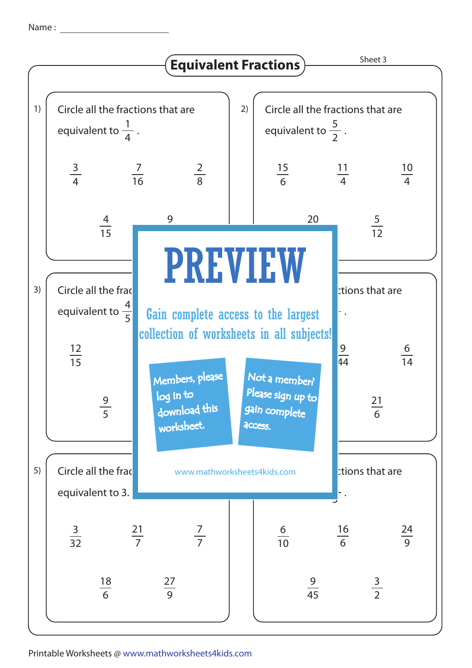Name :